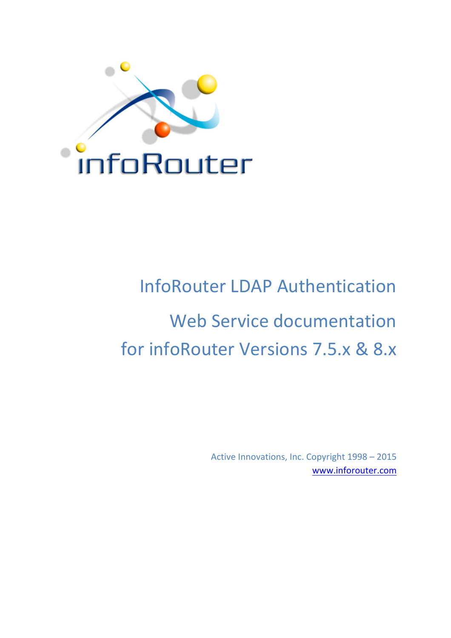

# InfoRouter LDAP Authentication Web Service documentation for infoRouter Versions 7.5.x & 8.x

Active Innovations, Inc. Copyright 1998 - 2015 www.inforouter.com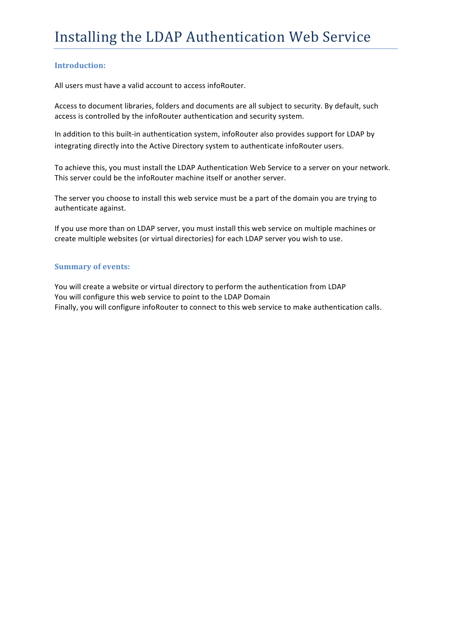#### **Introduction:**

All users must have a valid account to access infoRouter.

Access to document libraries, folders and documents are all subject to security. By default, such access is controlled by the infoRouter authentication and security system.

In addition to this built-in authentication system, infoRouter also provides support for LDAP by integrating directly into the Active Directory system to authenticate infoRouter users.

To achieve this, you must install the LDAP Authentication Web Service to a server on your network. This server could be the infoRouter machine itself or another server.

The server you choose to install this web service must be a part of the domain you are trying to authenticate against.

If you use more than on LDAP server, you must install this web service on multiple machines or create multiple websites (or virtual directories) for each LDAP server you wish to use.

#### **Summary of events:**

You will create a website or virtual directory to perform the authentication from LDAP You will configure this web service to point to the LDAP Domain Finally, you will configure infoRouter to connect to this web service to make authentication calls.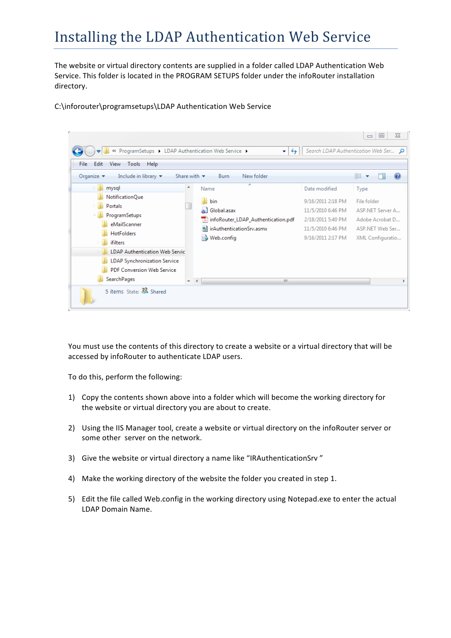The website or virtual directory contents are supplied in a folder called LDAP Authentication Web Service. This folder is located in the PROGRAM SETUPS folder under the infoRouter installation directory.

C:\inforouter\programsetups\LDAP Authentication Web Service



You must use the contents of this directory to create a website or a virtual directory that will be accessed by infoRouter to authenticate LDAP users.

To do this, perform the following:

- 1) Copy the contents shown above into a folder which will become the working directory for the website or virtual directory you are about to create.
- 2) Using the IIS Manager tool, create a website or virtual directory on the infoRouter server or some other server on the network.
- 3) Give the website or virtual directory a name like "IRAuthenticationSrv"
- 4) Make the working directory of the website the folder you created in step 1.
- 5) Edit the file called Web.config in the working directory using Notepad.exe to enter the actual LDAP Domain Name.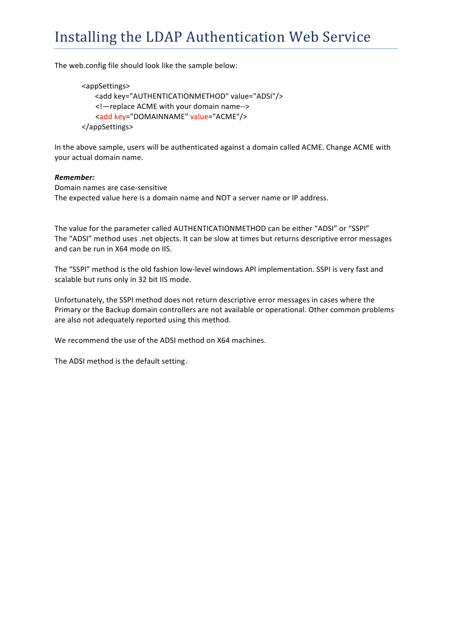The web.config file should look like the sample below:

```
<appSettings>
   <add key="AUTHENTICATIONMETHOD" value="ADSI"/>
   <!—replace	ACME	with	your	domain	name-->
   <add	key="DOMAINNAME"	value="ACME"/>	
</appSettings>
```
In the above sample, users will be authenticated against a domain called ACME. Change ACME with your actual domain name.

#### *Remember:*

Domain names are case-sensitive The expected value here is a domain name and NOT a server name or IP address.

The value for the parameter called AUTHENTICATIONMETHOD can be either "ADSI" or "SSPI" The "ADSI" method uses .net objects. It can be slow at times but returns descriptive error messages and can be run in X64 mode on IIS.

The "SSPI" method is the old fashion low-level windows API implementation. SSPI is very fast and scalable but runs only in 32 bit IIS mode.

Unfortunately, the SSPI method does not return descriptive error messages in cases where the Primary or the Backup domain controllers are not available or operational. Other common problems are also not adequately reported using this method.

We recommend the use of the ADSI method on X64 machines.

The ADSI method is the default setting.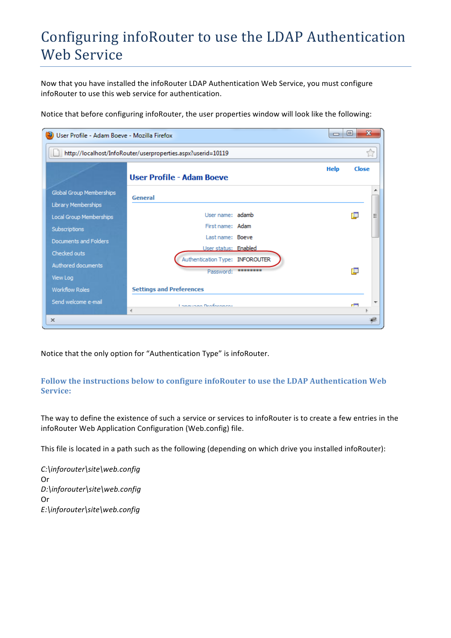Now that you have installed the infoRouter LDAP Authentication Web Service, you must configure infoRouter to use this web service for authentication.

Notice that before configuring infoRouter, the user properties window will look like the following:

| User Profile - Adam Boeve - Mozilla Firefox     |                                                              |          | $\Box$ | ▣               | $\mathbf{x}$ |
|-------------------------------------------------|--------------------------------------------------------------|----------|--------|-----------------|--------------|
|                                                 | http://localhost/InfoRouter/userproperties.aspx?userid=10119 |          |        |                 | Ŵ            |
|                                                 | User Profile - Adam Boeve                                    |          | Help   | Close           |              |
| Global Group Memberships<br>Library Memberships | General                                                      |          |        |                 |              |
| Local Group Memberships                         | User name: adamb                                             |          |        | 眞               | Ξ            |
| Subscriptions                                   | First name: Adam<br>Last name: Boeve                         |          |        |                 |              |
| Documents and Folders                           | User status: Enabled                                         |          |        |                 |              |
| Checked outs                                    | Authentication Type: INFOROUTER                              |          |        |                 |              |
| Authored documents<br>View Log                  | Password:                                                    | ******** |        | 庫               |              |
| <b>Workflow Roles</b>                           | <b>Settings and Preferences</b>                              |          |        |                 |              |
| Send welcome e-mail                             | <b>Language Dreforences</b>                                  |          |        | n <del>an</del> |              |
| $\mathbf x$                                     | ∢                                                            |          |        |                 |              |

Notice that the only option for "Authentication Type" is infoRouter.

#### Follow the instructions below to configure infoRouter to use the LDAP Authentication Web **Service:**

The way to define the existence of such a service or services to infoRouter is to create a few entries in the infoRouter Web Application Configuration (Web.config) file.

This file is located in a path such as the following (depending on which drive you installed infoRouter):

*C:\inforouter\site\web.config* Or *D:\inforouter\site\web.config* Or *E:\inforouter\site\web.config*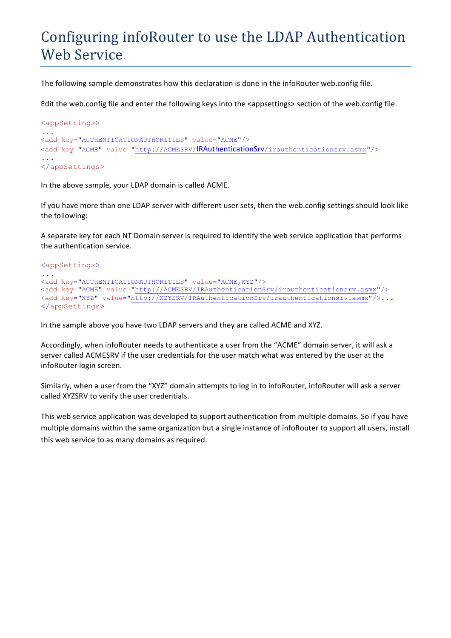The following sample demonstrates how this declaration is done in the infoRouter web.config file.

Edit the web.config file and enter the following keys into the <appsettings> section of the web.config file.

```
<appSettings>
...
<add key="AUTHENTICATIONAUTHORITIES" value="ACME"/>
<add key="ACME" value="http://ACMESRV/IRAuthenticationSrv/irauthenticationsrv.asmx"/>
...
</appSettings>
```
In the above sample, your LDAP domain is called ACME.

If you have more than one LDAP server with different user sets, then the web.config settings should look like the following:

A separate key for each NT Domain server is required to identify the web service application that performs the authentication service.

```
<appSettings>
...
<add key="AUTHENTICATIONAUTHORITIES" value="ACME,XYZ"/>
<add key="ACME" value="http://ACMESRV/IRAuthenticationSrv/irauthenticationsrv.asmx"/>
<add key="XYZ" value="http://XZYSRV/IRAuthenticationSrv/irauthenticationsrv.asmx"/>...
</appSettings>
```
In the sample above you have two LDAP servers and they are called ACME and XYZ.

Accordingly, when infoRouter needs to authenticate a user from the "ACME" domain server, it will ask a server called ACMESRV if the user credentials for the user match what was entered by the user at the infoRouter login screen.

Similarly, when a user from the "XYZ" domain attempts to log in to infoRouter, infoRouter will ask a server called XYZSRV to verify the user credentials.

This web service application was developed to support authentication from multiple domains. So if you have multiple domains within the same organization but a single instance of infoRouter to support all users, install this web service to as many domains as required.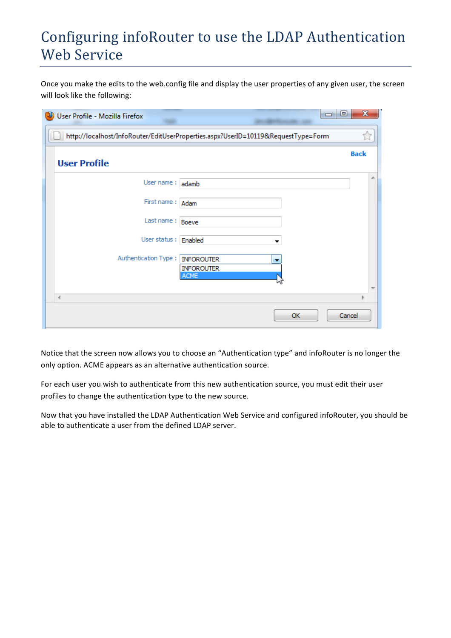Once you make the edits to the web.config file and display the user properties of any given user, the screen will look like the following:

|                     | User Profile - Mozilla Firefox | $\Box$                                                                            | $\mathbf{x}$<br>$\Box$ |
|---------------------|--------------------------------|-----------------------------------------------------------------------------------|------------------------|
|                     |                                | http://localhost/InfoRouter/EditUserProperties.aspx?UserID=10119&RequestType=Form |                        |
| <b>User Profile</b> |                                |                                                                                   | <b>Back</b>            |
|                     | User name: adamb               |                                                                                   | ∸                      |
|                     | First name: Adam               |                                                                                   |                        |
|                     | Last name: Boeve               |                                                                                   |                        |
|                     | User status: Enabled           |                                                                                   |                        |
|                     | Authentication Type:           | <b>INFOROUTER</b><br>▼<br><b>INFOROUTER</b><br><b>ACME</b>                        | ┯                      |
| ∢                   |                                |                                                                                   |                        |
|                     |                                | <b>OK</b>                                                                         | Cancel                 |

Notice that the screen now allows you to choose an "Authentication type" and infoRouter is no longer the only option. ACME appears as an alternative authentication source.

For each user you wish to authenticate from this new authentication source, you must edit their user profiles to change the authentication type to the new source.

Now that you have installed the LDAP Authentication Web Service and configured infoRouter, you should be able to authenticate a user from the defined LDAP server.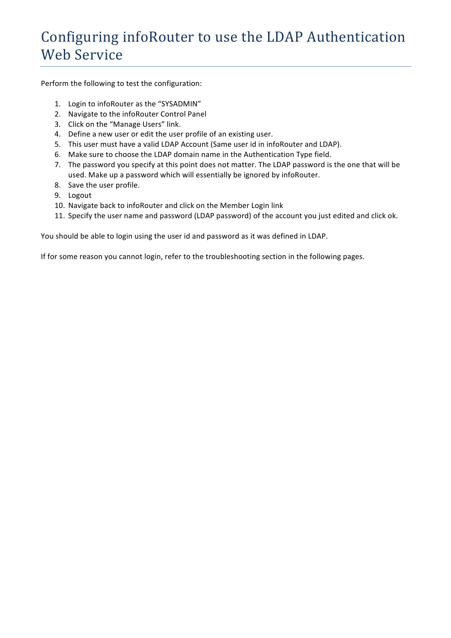Perform the following to test the configuration:

- 1. Login to infoRouter as the "SYSADMIN"
- 2. Navigate to the infoRouter Control Panel
- 3. Click on the "Manage Users" link.
- 4. Define a new user or edit the user profile of an existing user.
- 5. This user must have a valid LDAP Account (Same user id in infoRouter and LDAP).
- 6. Make sure to choose the LDAP domain name in the Authentication Type field.
- 7. The password you specify at this point does not matter. The LDAP password is the one that will be used. Make up a password which will essentially be ignored by infoRouter.
- 8. Save the user profile.
- 9. Logout
- 10. Navigate back to infoRouter and click on the Member Login link
- 11. Specify the user name and password (LDAP password) of the account you just edited and click ok.

You should be able to login using the user id and password as it was defined in LDAP.

If for some reason you cannot login, refer to the troubleshooting section in the following pages.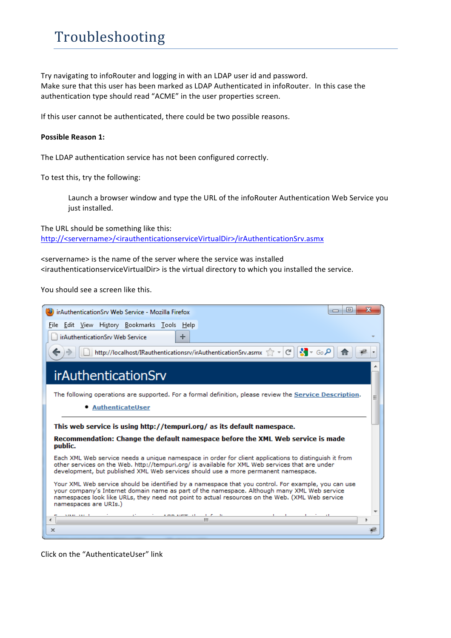## Troubleshooting

Try navigating to infoRouter and logging in with an LDAP user id and password. Make sure that this user has been marked as LDAP Authenticated in infoRouter. In this case the authentication type should read "ACME" in the user properties screen.

If this user cannot be authenticated, there could be two possible reasons.

#### **Possible Reason 1:**

The LDAP authentication service has not been configured correctly.

To test this, try the following:

Launch a browser window and type the URL of the infoRouter Authentication Web Service you just installed.

The URL should be something like this: http://<servername>/<irauthenticationserviceVirtualDir>/irAuthenticationSrv.asmx

<servername> is the name of the server where the service was installed <irauthenticationserviceVirtualDir> is the virtual directory to which you installed the service.

You should see a screen like this.

| $\mathbf{x}$<br>e<br>irAuthenticationSrv Web Service - Mozilla Firefox<br>▭                                                                                                                                                                                                                                                    |  |
|--------------------------------------------------------------------------------------------------------------------------------------------------------------------------------------------------------------------------------------------------------------------------------------------------------------------------------|--|
| Edit View History Bookmarks Tools Help<br>File                                                                                                                                                                                                                                                                                 |  |
| irAuthenticationSrv Web Service<br>÷                                                                                                                                                                                                                                                                                           |  |
| $\mathbf{S}$ + Go $\mathbf{S}$<br>http://localhost/IRauthenticationsrv/irAuthenticationSrv.asmx $\sqrt{7}$ $\sim$ $ \mathcal{C}  $                                                                                                                                                                                             |  |
| <i>irAuthenticationSrv</i>                                                                                                                                                                                                                                                                                                     |  |
| The following operations are supported. For a formal definition, please review the Service Description.                                                                                                                                                                                                                        |  |
| • AuthenticateUser                                                                                                                                                                                                                                                                                                             |  |
| This web service is using http://tempuri.org/ as its default namespace.                                                                                                                                                                                                                                                        |  |
| Recommendation: Change the default namespace before the XML Web service is made<br>public.                                                                                                                                                                                                                                     |  |
| Each XML Web service needs a unique namespace in order for client applications to distinguish it from<br>other services on the Web, http://tempuri.org/ is available for XML Web services that are under<br>development, but published XML Web services should use a more permanent namespace.                                 |  |
| Your XML Web service should be identified by a namespace that you control. For example, you can use<br>your company's Internet domain name as part of the namespace. Although many XML Web service<br>namespaces look like URLs, they need not point to actual resources on the Web. (XML Web service<br>namespaces are URIs.) |  |
| ш                                                                                                                                                                                                                                                                                                                              |  |
| $\times$                                                                                                                                                                                                                                                                                                                       |  |

Click on the "AuthenticateUser" link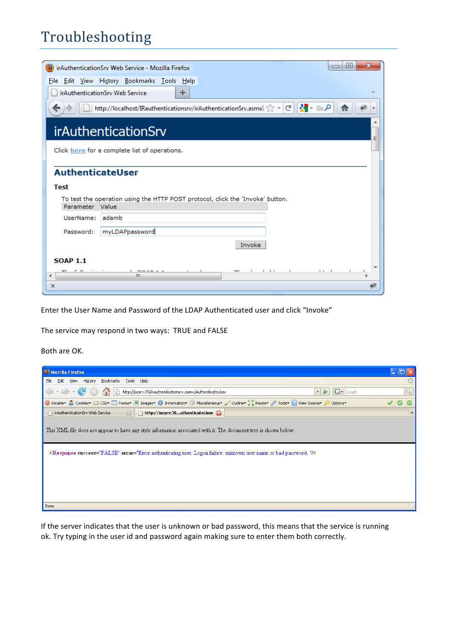## Troubleshooting

|                         | х<br>$\Box$<br>irAuthenticationSrv Web Service - Mozilla Firefox<br>$\Box$        |  |  |  |  |
|-------------------------|-----------------------------------------------------------------------------------|--|--|--|--|
|                         | File Edit View History Bookmarks Tools Help                                       |  |  |  |  |
|                         | irAuthenticationSrv Web Service<br>÷                                              |  |  |  |  |
|                         | http://localhost/IRauthenticationsrv/irAuthenticationSrv.asmx: Article   2 - Go Q |  |  |  |  |
|                         | <b>irAuthenticationSrv</b>                                                        |  |  |  |  |
|                         | Click here for a complete list of operations.                                     |  |  |  |  |
|                         | <b>AuthenticateUser</b>                                                           |  |  |  |  |
| <b>Test</b>             |                                                                                   |  |  |  |  |
| Parameter Value         | To test the operation using the HTTP POST protocol, click the 'Invoke' button.    |  |  |  |  |
| UserName: adamb         |                                                                                   |  |  |  |  |
| Password:               | myLDAPpassword                                                                    |  |  |  |  |
|                         | Invoke                                                                            |  |  |  |  |
| <b>SOAP 1.1</b>         |                                                                                   |  |  |  |  |
| $\mathcal{C}$ . 11<br>∢ | $1 - 11$<br>$\mathbf{r}$<br>ш                                                     |  |  |  |  |
| x                       |                                                                                   |  |  |  |  |

Enter the User Name and Password of the LDAP Authenticated user and click "Invoke"

The service may respond in two ways: TRUE and FALSE

Both are OK.

If the server indicates that the user is unknown or bad password, this means that the service is running ok. Try typing in the user id and password again making sure to enter them both correctly.